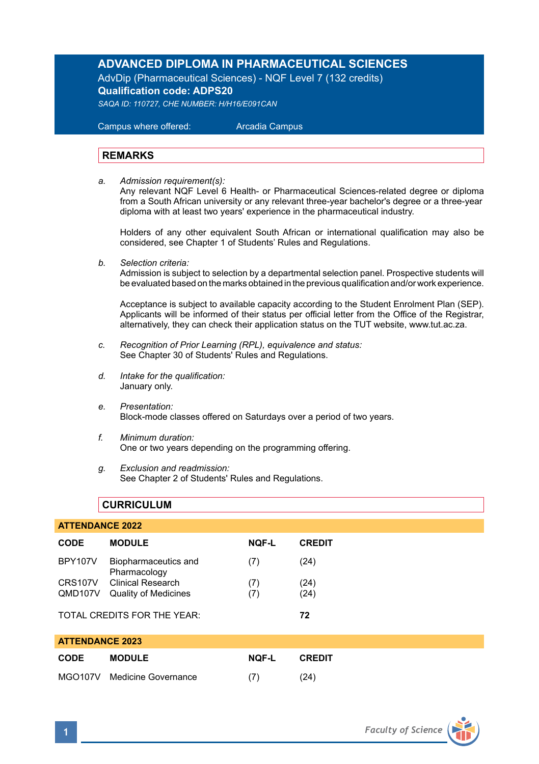# **ADVANCED DIPLOMA IN PHARMACEUTICAL SCIENCES**

AdvDip (Pharmaceutical Sciences) - NQF Level 7 (132 credits) **Qualification code: ADPS20** 

*SAQA ID: 110727, CHE NUMBER: H/H16/E091CAN* 

 Campus where offered: Arcadia Campus

### **REMARKS**

*a. Admission requirement(s):* 

 Any relevant NQF Level 6 Health- or Pharmaceutical Sciences-related degree or diploma from a South African university or any relevant three-year bachelor's degree or a three-year diploma with at least two years' experience in the pharmaceutical industry.

Holders of any other equivalent South African or international qualification may also be considered, see Chapter 1 of Students' Rules and Regulations.

*b. Selection criteria:*

Admission is subject to selection by a departmental selection panel. Prospective students will be evaluated based on the marks obtained in the previous qualification and/or work experience.

Acceptance is subject to available capacity according to the Student Enrolment Plan (SEP). Applicants will be informed of their status per official letter from the Office of the Registrar, alternatively, they can check their application status on the TUT website, www.tut.ac.za.

- *c. Recognition of Prior Learning (RPL), equivalence and status:* See Chapter 30 of Students' Rules and Regulations.
- *d. Intake for the qualification:* January only.
- *e. Presentation:* Block-mode classes offered on Saturdays over a period of two years.
- *f. Minimum duration:* One or two years depending on the programming offering.
- *g. Exclusion and readmission:* See Chapter 2 of Students' Rules and Regulations.

# **CURRICULUM**

| <b>ATTENDANCE 2022</b>      |                                      |              |               |  |  |
|-----------------------------|--------------------------------------|--------------|---------------|--|--|
| CODE                        | <b>MODULE</b>                        | <b>NOF-L</b> | <b>CREDIT</b> |  |  |
| <b>BPY107V</b>              | Biopharmaceutics and<br>Pharmacology | (7)          | (24)          |  |  |
| CRS107V                     | Clinical Research                    | (7)          | (24)          |  |  |
| QMD107V                     | <b>Quality of Medicines</b>          | (7)          | (24)          |  |  |
| TOTAL CREDITS FOR THE YEAR: |                                      |              | 72            |  |  |
| <b>ATTENDANCE 2023</b>      |                                      |              |               |  |  |
| CODE                        | <b>MODULE</b>                        | <b>NOF-L</b> | <b>CREDIT</b> |  |  |
| <b>MGO107V</b>              | Medicine Governance                  | (7)          | (24)          |  |  |

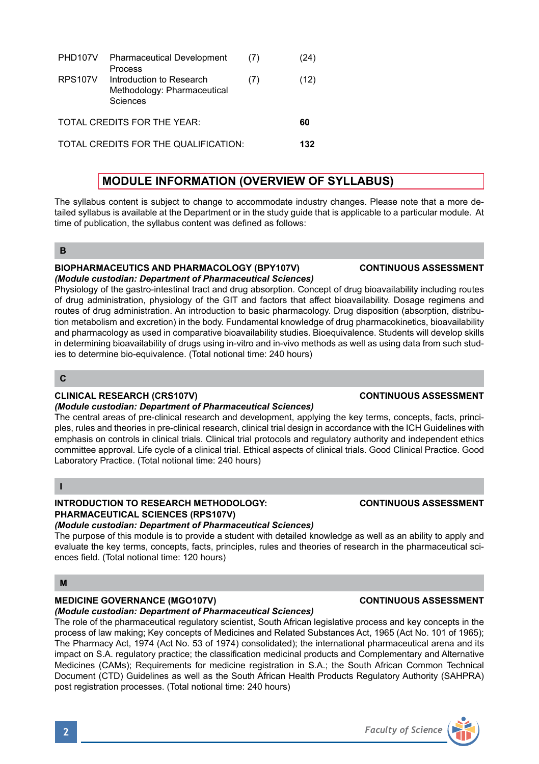|                                      | PHD107V Pharmaceutical Development<br>Process                       | (7) | (24) |
|--------------------------------------|---------------------------------------------------------------------|-----|------|
| <b>RPS107V</b>                       | Introduction to Research<br>Methodology: Pharmaceutical<br>Sciences | (7) | (12) |
|                                      | TOTAL CREDITS FOR THE YEAR:                                         |     | 60   |
| TOTAL CREDITS FOR THE QUALIFICATION: |                                                                     |     |      |

# **MODULE INFORMATION (OVERVIEW OF SYLLABUS)**

The syllabus content is subject to change to accommodate industry changes. Please note that a more detailed syllabus is available at the Department or in the study guide that is applicable to a particular module. At time of publication, the syllabus content was defined as follows:

#### **B**

#### **BIOPHARMACEUTICS AND PHARMACOLOGY (BPY107V) CONTINUOUS ASSESSMENT**  *(Module custodian: Department of Pharmaceutical Sciences)*

Physiology of the gastro-intestinal tract and drug absorption. Concept of drug bioavailability including routes of drug administration, physiology of the GIT and factors that affect bioavailability. Dosage regimens and routes of drug administration. An introduction to basic pharmacology. Drug disposition (absorption, distribution metabolism and excretion) in the body. Fundamental knowledge of drug pharmacokinetics, bioavailability and pharmacology as used in comparative bioavailability studies. Bioequivalence. Students will develop skills in determining bioavailability of drugs using in-vitro and in-vivo methods as well as using data from such studies to determine bio-equivalence. (Total notional time: 240 hours)

### **C**

# **CLINICAL RESEARCH (CRS107V) CONTINUOUS ASSESSMENT**

### *(Module custodian: Department of Pharmaceutical Sciences)*

The central areas of pre-clinical research and development, applying the key terms, concepts, facts, principles, rules and theories in pre-clinical research, clinical trial design in accordance with the ICH Guidelines with emphasis on controls in clinical trials. Clinical trial protocols and regulatory authority and independent ethics committee approval. Life cycle of a clinical trial. Ethical aspects of clinical trials. Good Clinical Practice. Good Laboratory Practice. (Total notional time: 240 hours)

#### **I**

# **INTRODUCTION TO RESEARCH METHODOLOGY: CONTINUOUS ASSESSMENT PHARMACEUTICAL SCIENCES (RPS107V)**

## *(Module custodian: Department of Pharmaceutical Sciences)*

The purpose of this module is to provide a student with detailed knowledge as well as an ability to apply and evaluate the key terms, concepts, facts, principles, rules and theories of research in the pharmaceutical sciences field. (Total notional time: 120 hours)

### **M**

# **MEDICINE GOVERNANCE (MGO107V) CONTINUOUS ASSESSMENT**

### *(Module custodian: Department of Pharmaceutical Sciences)*

The role of the pharmaceutical regulatory scientist, South African legislative process and key concepts in the process of law making; Key concepts of Medicines and Related Substances Act, 1965 (Act No. 101 of 1965); The Pharmacy Act, 1974 (Act No. 53 of 1974) consolidated); the international pharmaceutical arena and its impact on S.A. regulatory practice; the classification medicinal products and Complementary and Alternative Medicines (CAMs); Requirements for medicine registration in S.A.; the South African Common Technical Document (CTD) Guidelines as well as the South African Health Products Regulatory Authority (SAHPRA) post registration processes. (Total notional time: 240 hours)